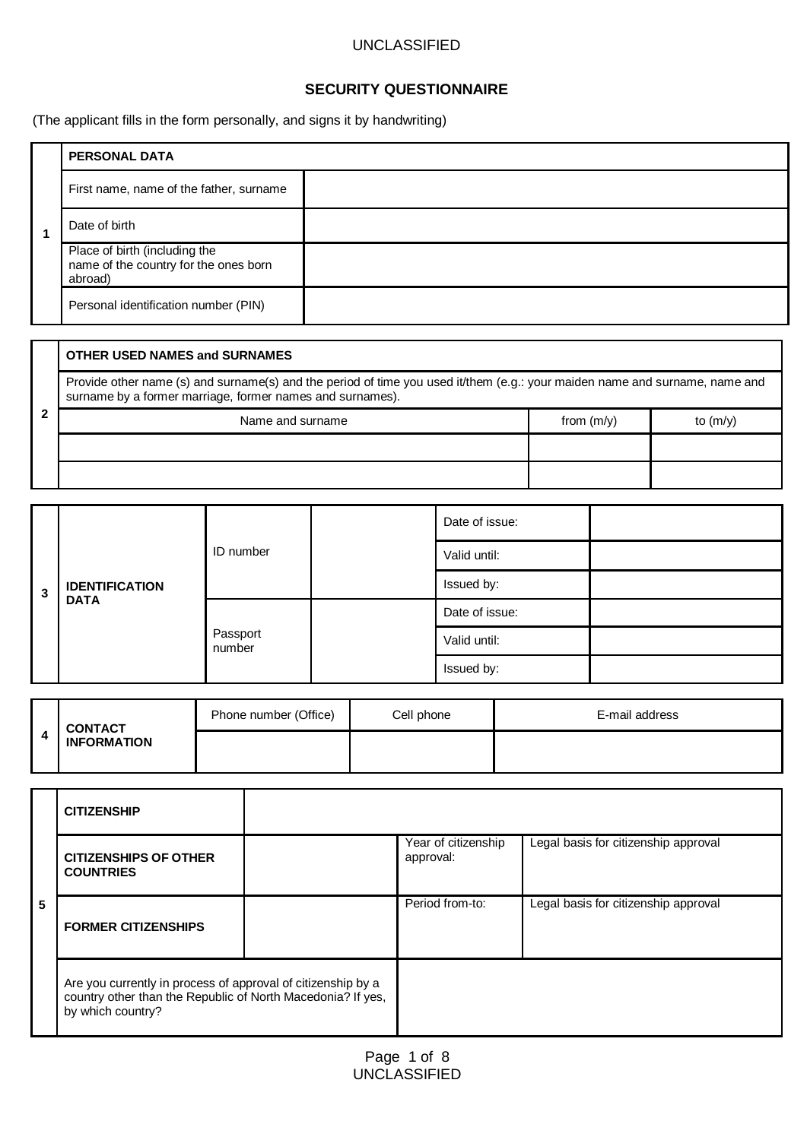# **SECURITY QUESTIONNAIRE**

(The applicant fills in the form personally, and signs it by handwriting)

|  | <b>PERSONAL DATA</b>                                                              |
|--|-----------------------------------------------------------------------------------|
|  | First name, name of the father, surname                                           |
|  | Date of birth                                                                     |
|  | Place of birth (including the<br>name of the country for the ones born<br>abroad) |
|  | Personal identification number (PIN)                                              |

|  | <b>OTHER USED NAMES and SURNAMES</b>                                                                                                                                                     |              |            |  |  |  |  |
|--|------------------------------------------------------------------------------------------------------------------------------------------------------------------------------------------|--------------|------------|--|--|--|--|
|  | Provide other name (s) and surname(s) and the period of time you used it/them (e.g.: your maiden name and surname, name and<br>surname by a former marriage, former names and surnames). |              |            |  |  |  |  |
|  | Name and surname                                                                                                                                                                         | from $(m/v)$ | to $(m/v)$ |  |  |  |  |
|  |                                                                                                                                                                                          |              |            |  |  |  |  |
|  |                                                                                                                                                                                          |              |            |  |  |  |  |

|                         | <b>IDENTIFICATION</b><br><b>DATA</b> | ID number          |              | Date of issue: |  |
|-------------------------|--------------------------------------|--------------------|--------------|----------------|--|
|                         |                                      |                    |              | Valid until:   |  |
| $\overline{\mathbf{3}}$ |                                      |                    |              | Issued by:     |  |
|                         |                                      | Passport<br>number |              | Date of issue: |  |
|                         |                                      |                    | Valid until: |                |  |
|                         |                                      |                    | Issued by:   |                |  |

|   | <b>CONTACT</b><br><b>INFORMATION</b> | Phone number (Office) | Cell phone | E-mail address |
|---|--------------------------------------|-----------------------|------------|----------------|
| д |                                      |                       |            |                |

|   | <b>CITIZENSHIP</b>                                                                                                                               |  |                                  |                                      |
|---|--------------------------------------------------------------------------------------------------------------------------------------------------|--|----------------------------------|--------------------------------------|
| 5 | <b>CITIZENSHIPS OF OTHER</b><br><b>COUNTRIES</b>                                                                                                 |  | Year of citizenship<br>approval: | Legal basis for citizenship approval |
|   | <b>FORMER CITIZENSHIPS</b>                                                                                                                       |  | Period from-to:                  | Legal basis for citizenship approval |
|   | Are you currently in process of approval of citizenship by a<br>country other than the Republic of North Macedonia? If yes,<br>by which country? |  |                                  |                                      |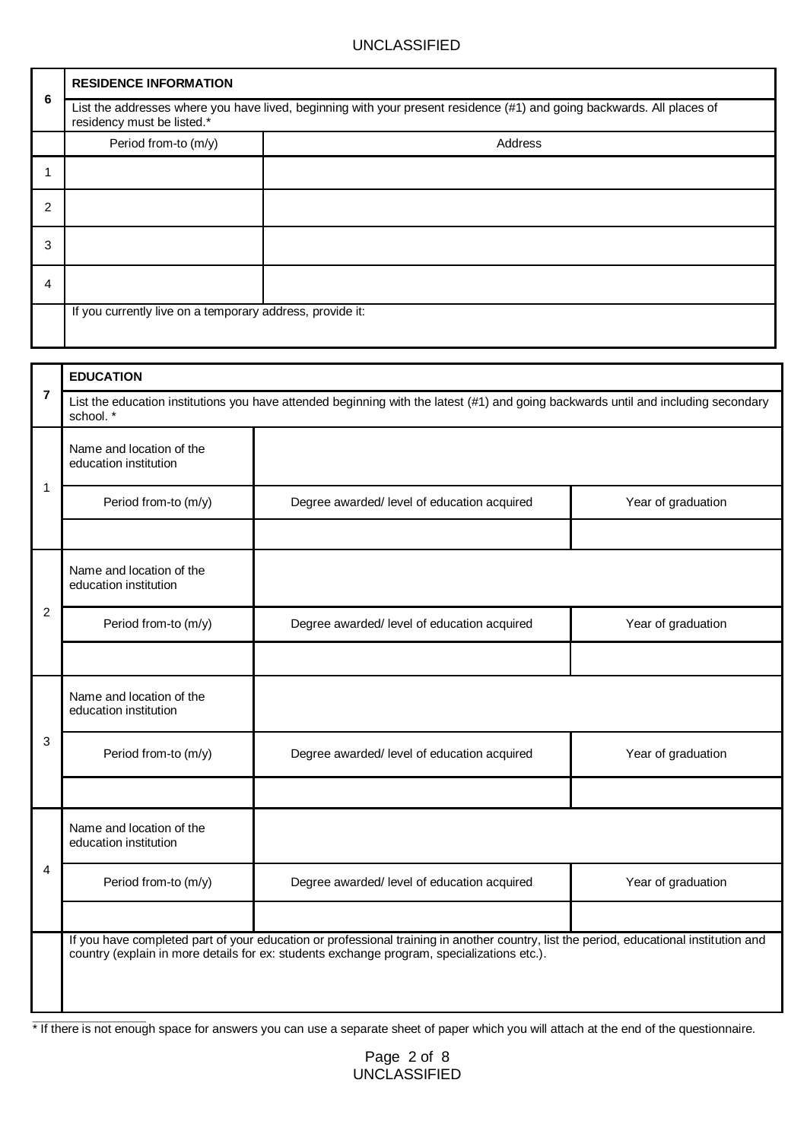|   | <b>RESIDENCE INFORMATION</b>                                                                                                                         |         |  |  |  |
|---|------------------------------------------------------------------------------------------------------------------------------------------------------|---------|--|--|--|
| 6 | List the addresses where you have lived, beginning with your present residence (#1) and going backwards. All places of<br>residency must be listed.* |         |  |  |  |
|   | Period from-to (m/y)                                                                                                                                 | Address |  |  |  |
|   |                                                                                                                                                      |         |  |  |  |
| 2 |                                                                                                                                                      |         |  |  |  |
| 3 |                                                                                                                                                      |         |  |  |  |
| 4 |                                                                                                                                                      |         |  |  |  |
|   | If you currently live on a temporary address, provide it:                                                                                            |         |  |  |  |

|                | <b>EDUCATION</b>                                  |                                                                                                                                                                                                                                      |                    |  |  |
|----------------|---------------------------------------------------|--------------------------------------------------------------------------------------------------------------------------------------------------------------------------------------------------------------------------------------|--------------------|--|--|
| $\overline{7}$ | school.*                                          | List the education institutions you have attended beginning with the latest (#1) and going backwards until and including secondary                                                                                                   |                    |  |  |
|                | Name and location of the<br>education institution |                                                                                                                                                                                                                                      |                    |  |  |
| 1              | Period from-to (m/y)                              | Degree awarded/ level of education acquired                                                                                                                                                                                          | Year of graduation |  |  |
|                | Name and location of the<br>education institution |                                                                                                                                                                                                                                      |                    |  |  |
| 2              | Period from-to (m/y)                              | Degree awarded/ level of education acquired                                                                                                                                                                                          | Year of graduation |  |  |
|                |                                                   |                                                                                                                                                                                                                                      |                    |  |  |
|                | Name and location of the<br>education institution |                                                                                                                                                                                                                                      |                    |  |  |
| 3              | Period from-to (m/y)                              | Degree awarded/ level of education acquired                                                                                                                                                                                          | Year of graduation |  |  |
|                |                                                   |                                                                                                                                                                                                                                      |                    |  |  |
|                | Name and location of the<br>education institution |                                                                                                                                                                                                                                      |                    |  |  |
| 4              | Period from-to (m/y)                              | Degree awarded/ level of education acquired                                                                                                                                                                                          | Year of graduation |  |  |
|                |                                                   |                                                                                                                                                                                                                                      |                    |  |  |
|                |                                                   | If you have completed part of your education or professional training in another country, list the period, educational institution and<br>country (explain in more details for ex: students exchange program, specializations etc.). |                    |  |  |

There is not enough space for answers you can use a separate sheet of paper which you will attach at the end of the questionnaire.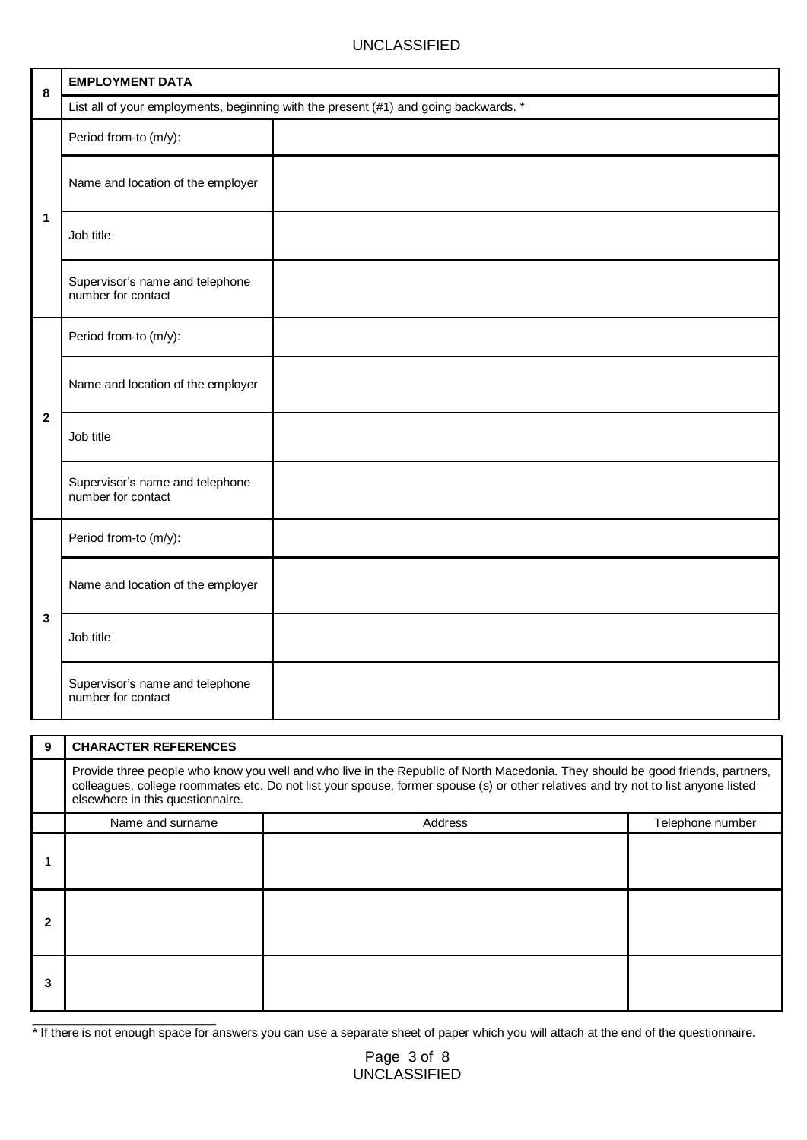| 8                       | <b>EMPLOYMENT DATA</b>                                |                                                                                      |
|-------------------------|-------------------------------------------------------|--------------------------------------------------------------------------------------|
|                         |                                                       | List all of your employments, beginning with the present (#1) and going backwards. * |
|                         | Period from-to (m/y):                                 |                                                                                      |
|                         | Name and location of the employer                     |                                                                                      |
| 1                       | Job title                                             |                                                                                      |
|                         | Supervisor's name and telephone<br>number for contact |                                                                                      |
|                         | Period from-to (m/y):                                 |                                                                                      |
|                         | Name and location of the employer                     |                                                                                      |
| $\overline{\mathbf{2}}$ | Job title                                             |                                                                                      |
|                         | Supervisor's name and telephone<br>number for contact |                                                                                      |
|                         | Period from-to (m/y):                                 |                                                                                      |
| 3                       | Name and location of the employer                     |                                                                                      |
|                         | Job title                                             |                                                                                      |
|                         | Supervisor's name and telephone<br>number for contact |                                                                                      |

| 9 | <b>CHARACTER REFERENCES</b>                                                                                                                                                                                                                                                                              |         |                  |  |  |  |
|---|----------------------------------------------------------------------------------------------------------------------------------------------------------------------------------------------------------------------------------------------------------------------------------------------------------|---------|------------------|--|--|--|
|   | Provide three people who know you well and who live in the Republic of North Macedonia. They should be good friends, partners,<br>colleagues, college roommates etc. Do not list your spouse, former spouse (s) or other relatives and try not to list anyone listed<br>elsewhere in this questionnaire. |         |                  |  |  |  |
|   | Name and surname                                                                                                                                                                                                                                                                                         | Address | Telephone number |  |  |  |
|   |                                                                                                                                                                                                                                                                                                          |         |                  |  |  |  |
|   |                                                                                                                                                                                                                                                                                                          |         |                  |  |  |  |
|   |                                                                                                                                                                                                                                                                                                          |         |                  |  |  |  |

\* If there is not enough space for answers you can use a separate sheet of paper which you will attach at the end of the questionnaire.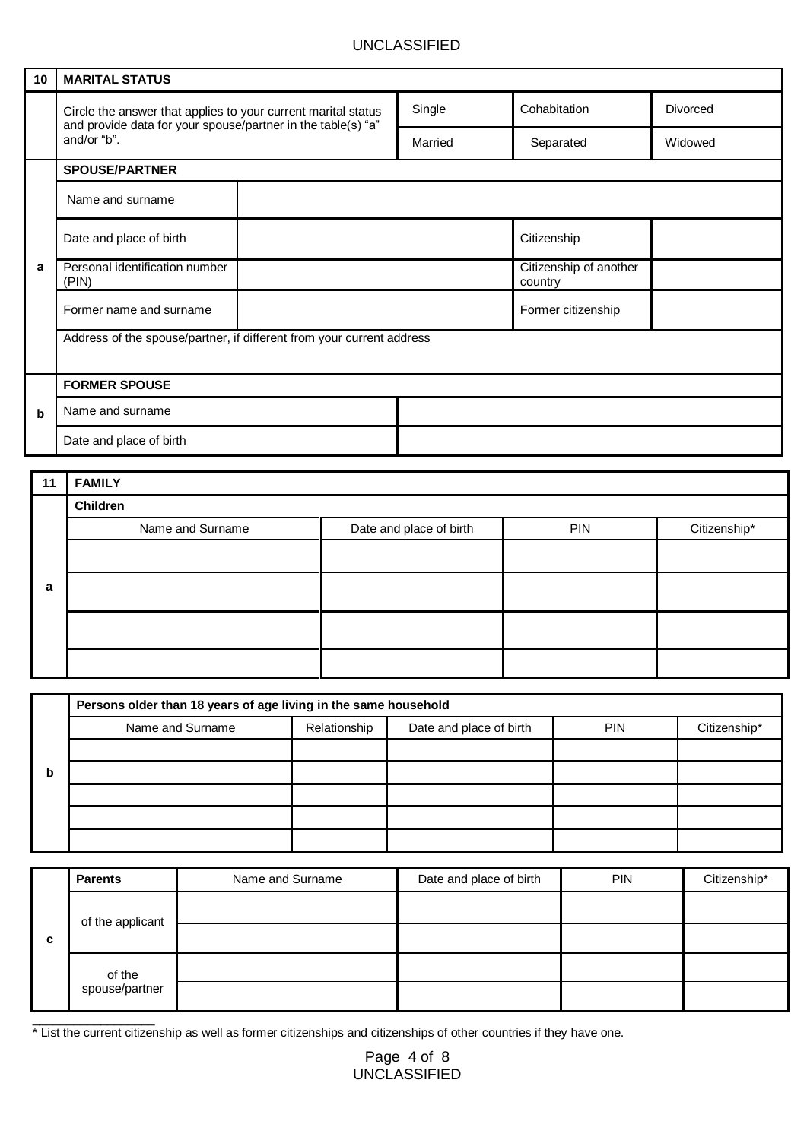| 10 <sub>1</sub> | <b>MARITAL STATUS</b>                                                                                                                        |  |         |  |                                   |  |          |  |
|-----------------|----------------------------------------------------------------------------------------------------------------------------------------------|--|---------|--|-----------------------------------|--|----------|--|
|                 | Circle the answer that applies to your current marital status<br>and provide data for your spouse/partner in the table(s) "a"<br>and/or "b". |  | Single  |  | Cohabitation                      |  | Divorced |  |
|                 |                                                                                                                                              |  | Married |  | Separated                         |  | Widowed  |  |
|                 | <b>SPOUSE/PARTNER</b>                                                                                                                        |  |         |  |                                   |  |          |  |
|                 | Name and surname                                                                                                                             |  |         |  |                                   |  |          |  |
|                 | Date and place of birth                                                                                                                      |  |         |  | Citizenship                       |  |          |  |
| a               | Personal identification number<br>(PIN)                                                                                                      |  |         |  | Citizenship of another<br>country |  |          |  |
|                 | Former name and surname                                                                                                                      |  |         |  | Former citizenship                |  |          |  |
|                 | Address of the spouse/partner, if different from your current address                                                                        |  |         |  |                                   |  |          |  |
|                 |                                                                                                                                              |  |         |  |                                   |  |          |  |
|                 | <b>FORMER SPOUSE</b>                                                                                                                         |  |         |  |                                   |  |          |  |
| $\mathbf b$     | Name and surname                                                                                                                             |  |         |  |                                   |  |          |  |
|                 | Date and place of birth                                                                                                                      |  |         |  |                                   |  |          |  |

| 11 | <b>FAMILY</b>    |                         |            |              |  |  |  |
|----|------------------|-------------------------|------------|--------------|--|--|--|
|    | Children         |                         |            |              |  |  |  |
|    | Name and Surname | Date and place of birth | <b>PIN</b> | Citizenship* |  |  |  |
|    |                  |                         |            |              |  |  |  |
| a  |                  |                         |            |              |  |  |  |
|    |                  |                         |            |              |  |  |  |
|    |                  |                         |            |              |  |  |  |

|   | Persons older than 18 years of age living in the same household |              |                         |            |              |  |  |  |
|---|-----------------------------------------------------------------|--------------|-------------------------|------------|--------------|--|--|--|
|   | Name and Surname                                                | Relationship | Date and place of birth | <b>PIN</b> | Citizenship* |  |  |  |
|   |                                                                 |              |                         |            |              |  |  |  |
| b |                                                                 |              |                         |            |              |  |  |  |
|   |                                                                 |              |                         |            |              |  |  |  |
|   |                                                                 |              |                         |            |              |  |  |  |
|   |                                                                 |              |                         |            |              |  |  |  |

| c | <b>Parents</b>   | Name and Surname | Date and place of birth | <b>PIN</b> | Citizenship* |
|---|------------------|------------------|-------------------------|------------|--------------|
|   | of the applicant |                  |                         |            |              |
|   |                  |                  |                         |            |              |
|   | of the           |                  |                         |            |              |
|   | spouse/partner   |                  |                         |            |              |

\* List the current citizenship as well as former citizenships and citizenships of other countries if they have one.

\_\_\_\_\_\_\_\_\_\_\_\_\_\_\_\_\_\_

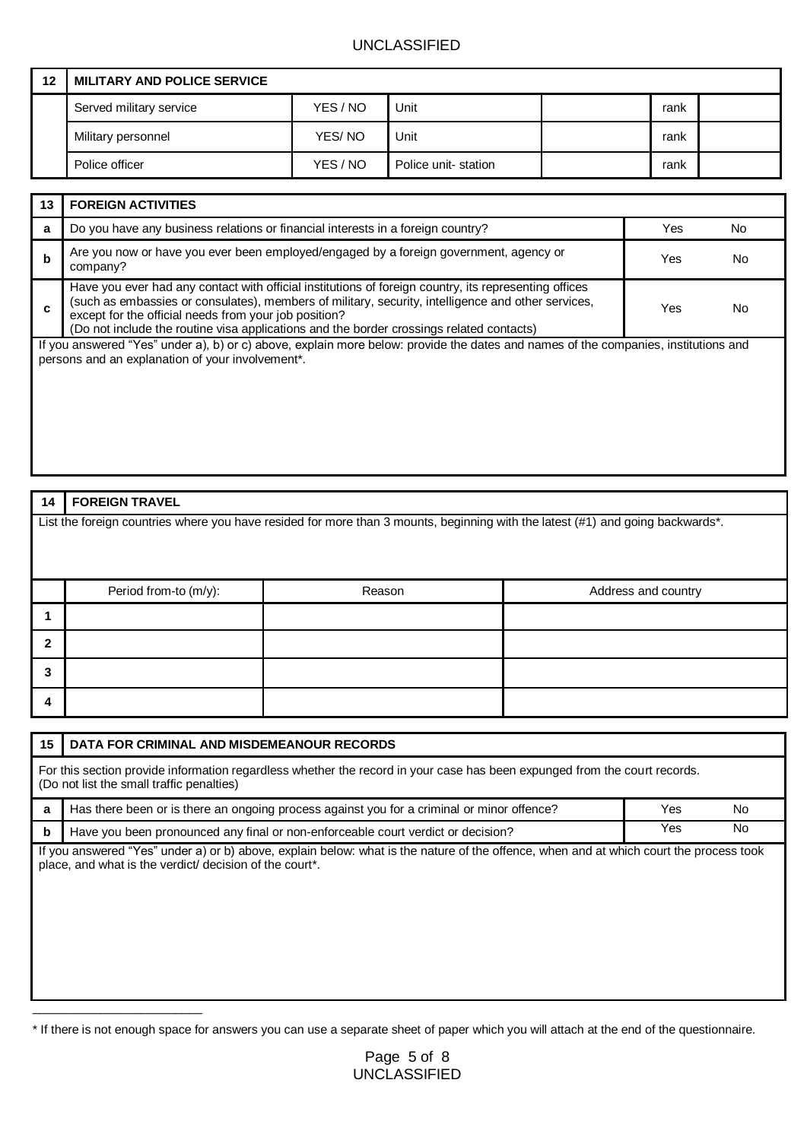| 12 | <b>MILITARY AND POLICE SERVICE</b> |          |                     |      |  |
|----|------------------------------------|----------|---------------------|------|--|
|    | Served military service            | YES / NO | Unit                | rank |  |
|    | Military personnel                 | YES/NO   | Unit                | rank |  |
|    | Police officer                     | YES / NO | Police unit-station | rank |  |

| 13                                                                                                                                                                                     | <b>FOREIGN ACTIVITIES</b>                                                                                                                                                                                                                                                                                                                                        |            |    |
|----------------------------------------------------------------------------------------------------------------------------------------------------------------------------------------|------------------------------------------------------------------------------------------------------------------------------------------------------------------------------------------------------------------------------------------------------------------------------------------------------------------------------------------------------------------|------------|----|
| a                                                                                                                                                                                      | Do you have any business relations or financial interests in a foreign country?                                                                                                                                                                                                                                                                                  | <b>Yes</b> | No |
| b                                                                                                                                                                                      | Are you now or have you ever been employed/engaged by a foreign government, agency or<br>company?                                                                                                                                                                                                                                                                | Yes        | N٥ |
| c                                                                                                                                                                                      | Have you ever had any contact with official institutions of foreign country, its representing offices<br>(such as embassies or consulates), members of military, security, intelligence and other services,<br>except for the official needs from your job position?<br>(Do not include the routine visa applications and the border crossings related contacts) | Yes        |    |
| If you answered "Yes" under a), b) or c) above, explain more below: provide the dates and names of the companies, institutions and<br>persons and an explanation of your involvement*. |                                                                                                                                                                                                                                                                                                                                                                  |            |    |

| 14                                                                                                                             | <b>FOREIGN TRAVEL</b> |        |                     |  |  |
|--------------------------------------------------------------------------------------------------------------------------------|-----------------------|--------|---------------------|--|--|
| List the foreign countries where you have resided for more than 3 mounts, beginning with the latest (#1) and going backwards*. |                       |        |                     |  |  |
|                                                                                                                                |                       |        |                     |  |  |
|                                                                                                                                |                       |        |                     |  |  |
|                                                                                                                                | Period from-to (m/y): | Reason | Address and country |  |  |
| 1                                                                                                                              |                       |        |                     |  |  |
| $\overline{2}$                                                                                                                 |                       |        |                     |  |  |
| 3                                                                                                                              |                       |        |                     |  |  |
| 4                                                                                                                              |                       |        |                     |  |  |
|                                                                                                                                |                       |        |                     |  |  |

| 15 | DATA FOR CRIMINAL AND MISDEMEANOUR RECORDS                                                                                                                                                        |     |     |
|----|---------------------------------------------------------------------------------------------------------------------------------------------------------------------------------------------------|-----|-----|
|    | For this section provide information regardless whether the record in your case has been expunged from the court records.<br>(Do not list the small traffic penalties)                            |     |     |
| a  | Has there been or is there an ongoing process against you for a criminal or minor offence?<br><b>Yes</b><br>No.                                                                                   |     |     |
| b  | Have you been pronounced any final or non-enforceable court verdict or decision?                                                                                                                  | Yes | No. |
|    | If you answered "Yes" under a) or b) above, explain below: what is the nature of the offence, when and at which court the process took<br>place, and what is the verdict/ decision of the court*. |     |     |

\* If there is not enough space for answers you can use a separate sheet of paper which you will attach at the end of the questionnaire.

\_\_\_\_\_\_\_\_\_\_\_\_\_\_\_\_\_\_\_\_\_\_\_\_\_

Page 5 of 8 UNCLASSIFIED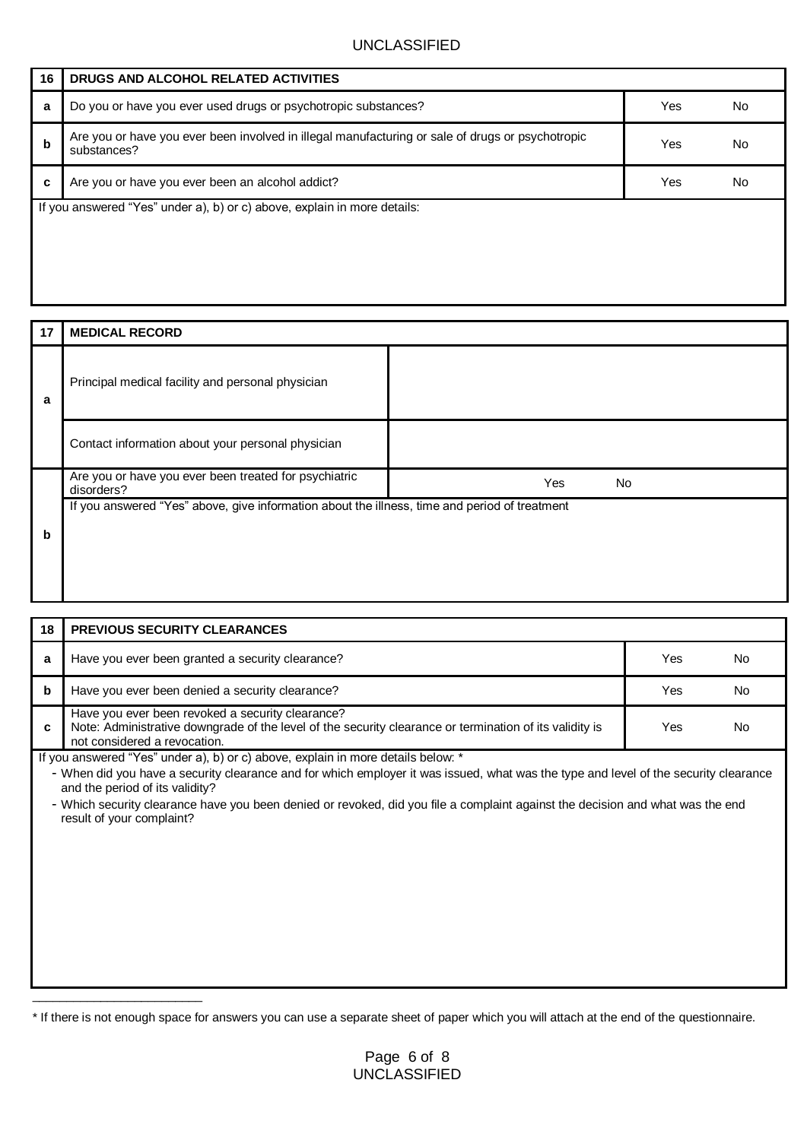| 16 | DRUGS AND ALCOHOL RELATED ACTIVITIES                                                                            |     |    |
|----|-----------------------------------------------------------------------------------------------------------------|-----|----|
| a  | Do you or have you ever used drugs or psychotropic substances?                                                  | Yes | No |
| b  | Are you or have you ever been involved in illegal manufacturing or sale of drugs or psychotropic<br>substances? | Yes | Nc |
| c  | Are you or have you ever been an alcohol addict?                                                                | Yes | Nc |
|    | If you answered "Yes" under a), b) or c) above, explain in more details:                                        |     |    |

| Principal medical facility and personal physician                                             |           |
|-----------------------------------------------------------------------------------------------|-----------|
| Contact information about your personal physician                                             |           |
| Are you or have you ever been treated for psychiatric<br>disorders?                           | Yes<br>No |
| If you answered "Yes" above, give information about the illness, time and period of treatment |           |
|                                                                                               |           |

| 18                                                                                                                                                                      | <b>PREVIOUS SECURITY CLEARANCES</b>                                                                                                                                                         |     |     |  |
|-------------------------------------------------------------------------------------------------------------------------------------------------------------------------|---------------------------------------------------------------------------------------------------------------------------------------------------------------------------------------------|-----|-----|--|
| a                                                                                                                                                                       | Have you ever been granted a security clearance?                                                                                                                                            | Yes | Nο  |  |
| b                                                                                                                                                                       | Have you ever been denied a security clearance?                                                                                                                                             | Yes | No. |  |
| c                                                                                                                                                                       | Have you ever been revoked a security clearance?<br>Note: Administrative downgrade of the level of the security clearance or termination of its validity is<br>not considered a revocation. | Yes | חצו |  |
|                                                                                                                                                                         | If you answered "Yes" under a), b) or c) above, explain in more details below: *                                                                                                            |     |     |  |
| - When did you have a security clearance and for which employer it was issued, what was the type and level of the security clearance<br>and the period of its validity? |                                                                                                                                                                                             |     |     |  |
|                                                                                                                                                                         | - Which security clearance have you been denied or revoked, did you file a complaint against the decision and what was the end<br>result of your complaint?                                 |     |     |  |
|                                                                                                                                                                         |                                                                                                                                                                                             |     |     |  |
|                                                                                                                                                                         |                                                                                                                                                                                             |     |     |  |
|                                                                                                                                                                         |                                                                                                                                                                                             |     |     |  |

\_\_\_\_\_\_\_\_\_\_\_\_\_\_\_\_\_\_\_\_\_\_\_\_\_

<sup>\*</sup> If there is not enough space for answers you can use a separate sheet of paper which you will attach at the end of the questionnaire.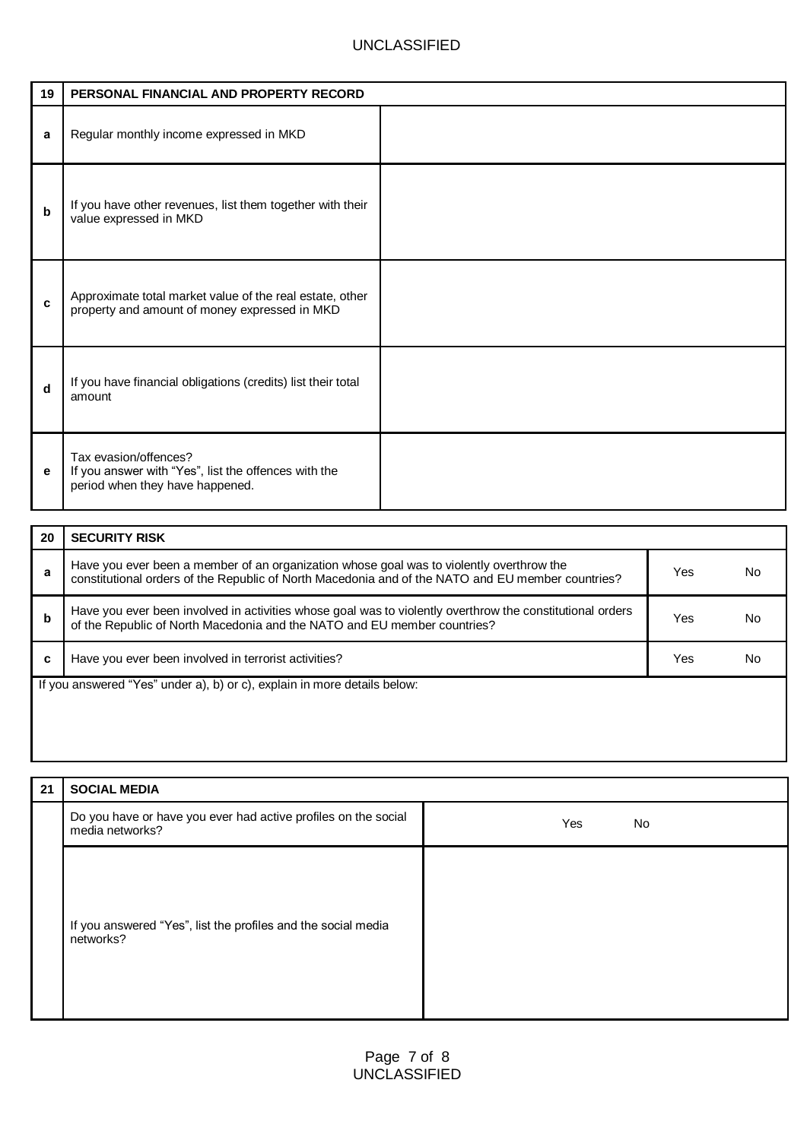| 19 | PERSONAL FINANCIAL AND PROPERTY RECORD                                                                           |  |
|----|------------------------------------------------------------------------------------------------------------------|--|
| a  | Regular monthly income expressed in MKD                                                                          |  |
| b  | If you have other revenues, list them together with their<br>value expressed in MKD                              |  |
| C  | Approximate total market value of the real estate, other<br>property and amount of money expressed in MKD        |  |
| d  | If you have financial obligations (credits) list their total<br>amount                                           |  |
| е  | Tax evasion/offences?<br>If you answer with "Yes", list the offences with the<br>period when they have happened. |  |

| 20                                                                       | <b>SECURITY RISK</b>                                                                                                                                                                          |     |  |  |
|--------------------------------------------------------------------------|-----------------------------------------------------------------------------------------------------------------------------------------------------------------------------------------------|-----|--|--|
| a                                                                        | Have you ever been a member of an organization whose goal was to violently overthrow the<br>constitutional orders of the Republic of North Macedonia and of the NATO and EU member countries? | Yes |  |  |
| b                                                                        | Have you ever been involved in activities whose goal was to violently overthrow the constitutional orders<br>of the Republic of North Macedonia and the NATO and EU member countries?         | Yes |  |  |
| c                                                                        | Have you ever been involved in terrorist activities?                                                                                                                                          | Yes |  |  |
| If you answered "Yes" under a), b) or c), explain in more details below: |                                                                                                                                                                                               |     |  |  |
|                                                                          |                                                                                                                                                                                               |     |  |  |
|                                                                          |                                                                                                                                                                                               |     |  |  |

| 21 | <b>SOCIAL MEDIA</b>                                                               |            |
|----|-----------------------------------------------------------------------------------|------------|
|    | Do you have or have you ever had active profiles on the social<br>media networks? | Yes<br>No. |
|    | If you answered "Yes", list the profiles and the social media<br>networks?        |            |